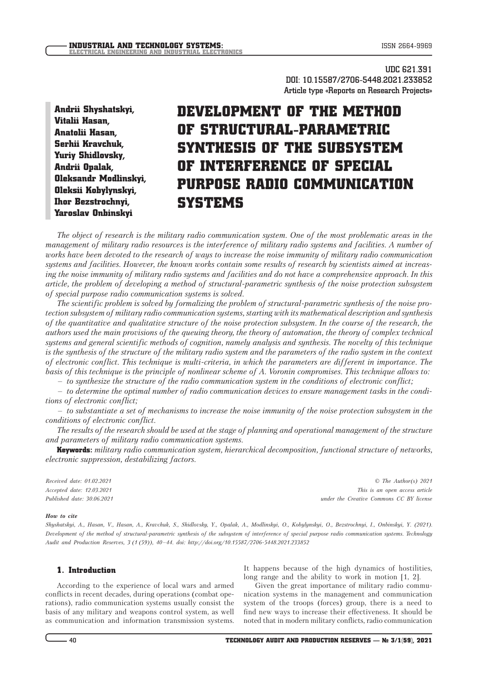**UDC 621.391 DOI: 10.15587/2706-5448.2021.233852 Article type «Reports on Research Projects»**

Andrii Shyshatskyi, Vitalii Hasan, Anatolii Hasan, Serhii Kravchuk, Yuriy Shidlovsky, Andrii Opalak, Oleksandr Modlinskyi, Oleksii Kobylynskyi, Ihor Bezstrochnyi, Yaroslav Onbinskyi

# DEVELOPMENT OF THE METHOD OF STRUCTURAL-PARAMETRIC SYNTHESIS OF THE SUBSYSTEM OF INTERFERENCE OF SPECIAL PURPOSE RADIO COMMUNICATION **SYSTEMS**

*The object of research is the military radio communication system. One of the most problematic areas in the management of military radio resources is the interference of military radio systems and facilities. A number of works have been devoted to the research of ways to increase the noise immunity of military radio communication systems and facilities. However, the known works contain some results of research by scientists aimed at increasing the noise immunity of military radio systems and facilities and do not have a comprehensive approach. In this article, the problem of developing a method of structural-parametric synthesis of the noise protection subsystem of special purpose radio communication systems is solved.*

*The scientific problem is solved by formalizing the problem of structural-parametric synthesis of the noise protection subsystem of military radio communication systems, starting with its mathematical description and synthesis of the quantitative and qualitative structure of the noise protection subsystem. In the course of the research, the authors used the main provisions of the queuing theory, the theory of automation, the theory of complex technical systems and general scientific methods of cognition, namely analysis and synthesis. The novelty of this technique is the synthesis of the structure of the military radio system and the parameters of the radio system in the context of electronic conflict. This technique is multi-criteria, in which the parameters are different in importance. The basis of this technique is the principle of nonlinear scheme of A. Voronin compromises. This technique allows to:*

*– to synthesize the structure of the radio communication system in the conditions of electronic conflict;*

*– to determine the optimal number of radio communication devices to ensure management tasks in the conditions of electronic conflict;*

*– to substantiate a set of mechanisms to increase the noise immunity of the noise protection subsystem in the conditions of electronic conflict.*

*The results of the research should be used at the stage of planning and operational management of the structure and parameters of military radio communication systems.*

Keywords: *military radio communication system, hierarchical decomposition, functional structure of networks, electronic suppression, destabilizing factors.*

*Received date: 01.02.2021 Accepted date: 12.03.2021 Published date: 30.06.2021*

*© The Author(s) 2021 This is an open access article under the Creative Commons CC BY license*

#### *How to cite*

*Shyshatskyi, A., Hasan, V., Hasan, A., Kravchuk, S., Shidlovsky, Y., Opalak, A., Modlinskyi, O., Kobylynskyi, O., Bezstrochnyi, I., Onbinskyi, Y. (2021). Development of the method of structural-parametric synthesis of the subsystem of interference of special purpose radio communication systems. Technology Audit and Production Reserves, 3 (1 (59)), 40–44. doi: http://doi.org/10.15587/2706-5448.2021.233852*

## 1. Introduction

According to the experience of local wars and armed conflicts in recent decades, during operations (combat operations), radio communication systems usually consist the basis of any military and weapons control system, as well as communication and information transmission systems. It happens because of the high dynamics of hostilities, long range and the ability to work in motion [1, 2].

Given the great importance of military radio communication systems in the management and communication system of the troops (forces) group, there is a need to find new ways to increase their effectiveness. It should be noted that in modern military conflicts, radio communication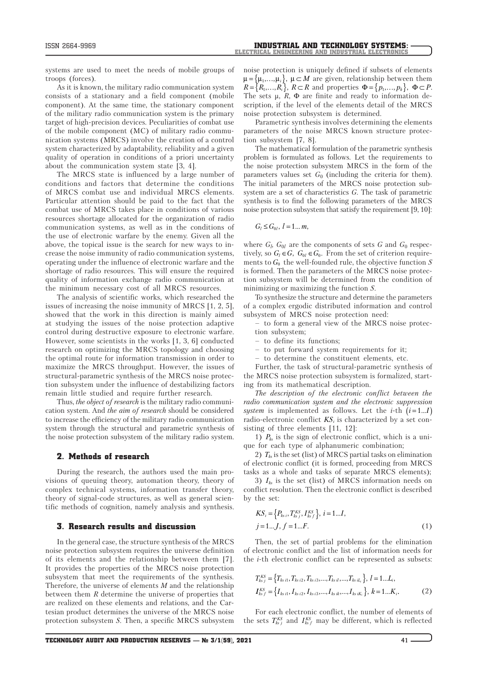systems are used to meet the needs of mobile groups of troops (forces).

As it is known, the military radio communication system consists of a stationary and a field component (mobile component). At the same time, the stationary component of the military radio communication system is the primary target of high-precision devices. Peculiarities of combat use of the mobile component (MC) of military radio communication systems (MRCS) involve the creation of a control system characterized by adaptability, reliability and a given quality of operation in conditions of a priori uncertainty about the communication system state [3, 4].

The MRCS state is influenced by a large number of conditions and factors that determine the conditions of MRCS combat use and individual MRCS elements. Particular attention should be paid to the fact that the combat use of MRCS takes place in conditions of various resources shortage allocated for the organization of radio communication systems, as well as in the conditions of the use of electronic warfare by the enemy. Given all the above, the topical issue is the search for new ways to increase the noise immunity of radio communication systems, operating under the influence of electronic warfare and the shortage of radio resources. This will ensure the required quality of information exchange radio communication at the minimum necessary cost of all MRCS resources.

The analysis of scientific works, which researched the issues of increasing the noise immunity of MRCS [1, 2, 5], showed that the work in this direction is mainly aimed at studying the issues of the noise protection adaptive control during destructive exposure to electronic warfare. However, some scientists in the works [1, 3, 6] conducted research on optimizing the MRCS topology and choosing the optimal route for information transmission in order to maximize the MRCS throughput. However, the issues of structural-parametric synthesis of the MRCS noise protection subsystem under the influence of destabilizing factors remain little studied and require further research.

Thus, *the object of research* is the military radio communication system. And *the aim of research* should be considered to increase the efficiency of the military radio communication system through the structural and parametric synthesis of the noise protection subsystem of the military radio system.

#### 2. Methods of research

During the research, the authors used the main provisions of queuing theory, automation theory, theory of complex technical systems, information transfer theory, theory of signal-code structures, as well as general scientific methods of cognition, namely analysis and synthesis.

### 3. Research results and discussion

In the general case, the structure synthesis of the MRCS noise protection subsystem requires the universe definition of its elements and the relationship between them [7]. It provides the properties of the MRCS noise protection subsystem that meet the requirements of the synthesis. Therefore, the universe of elements *M* and the relationship between them *R* determine the universe of properties that are realized on these elements and relations, and the Cartesian product determines the universe of the MRCS noise protection subsystem *S*. Then, a specific MRCS subsystem

noise protection is uniquely defined if subsets of elements  $\mu = {\mu_1, ..., \mu_i}, \mu \subset M$  are given, relationship between them  $R = \{R_1, ..., R_i\}, R \subset R$  and properties  $\Phi = \{p_1, ..., p_k\}, \Phi \subset P.$ The sets  $\mu$ ,  $\bar{R}$ ,  $\Phi$  are finite and ready to information description, if the level of the elements detail of the MRCS noise protection subsystem is determined.

Parametric synthesis involves determining the elements parameters of the noise MRCS known structure protection subsystem [7, 8].

The mathematical formulation of the parametric synthesis problem is formulated as follows. Let the requirements to the noise protection subsystem MRCS in the form of the parameters values set *G*0 (including the criteria for them). The initial parameters of the MRCS noise protection subsystem are a set of characteristics *G*. The task of parametric synthesis is to find the following parameters of the MRCS noise protection subsystem that satisfy the requirement [9, 10]:

 $G_l \leq G_{0l}, l = 1...m,$ 

where  $G_l$ ,  $G_{0l}$  are the components of sets G and  $G_0$  respectively, so  $G_l \in G$ ,  $G_{0l} \in G_0$ . From the set of criterion requirements to  $G_0$  the well-founded rule, the objective function  $S$ is formed. Then the parameters of the MRCS noise protection subsystem will be determined from the condition of minimizing or maximizing the function *S*.

To synthesize the structure and determine the parameters of a complex ergodic distributed information and control subsystem of MRCS noise protection need:

- to form a general view of the MRCS noise protection subsystem;
- to define its functions;
- to put forward system requirements for it;
- to determine the constituent elements, etc.

Further, the task of structural-parametric synthesis of the MRCS noise protection subsystem is formalized, starting from its mathematical description.

*The description of the electronic conflict between the radio communication system and the electronic suppression system* is implemented as follows. Let the *i*-th  $(i=1...I)$ radio-electronic conflict  $KS_i$  is characterized by a set consisting of three elements [11, 12]:

1) *Pks* is the sign of electronic conflict, which is a unique for each type of alphanumeric combination;

2) *Tks* is the set (list) of MRCS partial tasks on elimination of electronic conflict (it is formed, proceeding from MRCS tasks as a whole and tasks of separate MRCS elements);

3) *Iks* is the set (list) of MRCS information needs on conflict resolution. Then the electronic conflict is described by the set:

$$
KS_{i} = \{P_{ks} \, ; \, T_{ks}^{KS} \, ; \, I_{ks}^{KS} \} \, , \, i = 1...I, \nj = 1...J, \, f = 1...F. \tag{1}
$$

Then, the set of partial problems for the elimination of electronic conflict and the list of information needs for the *i*-th electronic conflict can be represented as subsets:

$$
T_{ksj}^{KS} = \{T_{ks\,i1}, T_{ks\,i2}, T_{ks\,i3}, \dots, T_{ks\,il}, \dots, T_{ks\,il_s}\}, l = 1 \dots L_i,
$$
  

$$
I_{ks\,f}^{KS} = \{I_{ks\,i1}, I_{ks\,i2}, I_{ks\,i3}, \dots, I_{ks\,ik}, \dots, I_{ks\,ik_s}\}, k = 1 \dots K_i.
$$
 (2)

For each electronic conflict, the number of elements of the sets  $T_{ksj}^{KS}$  and  $I_{ksj}^{KS}$  may be different, which is reflected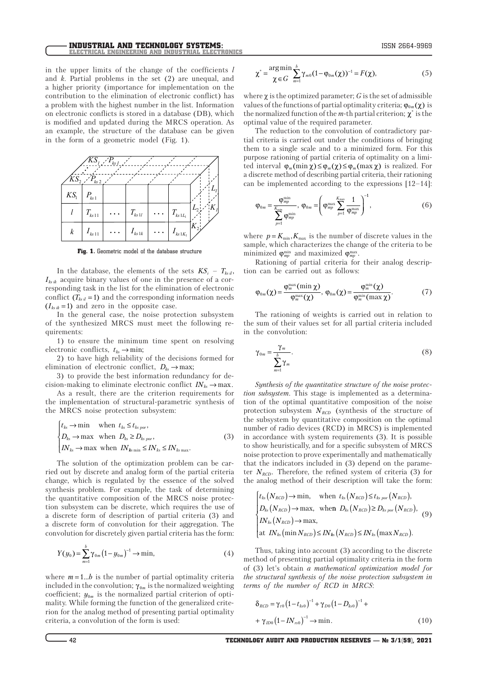in the upper limits of the change of the coefficients *l* and *k*. Partial problems in the set (2) are unequal, and a higher priority (importance for implementation on the contribution to the elimination of electronic conflict) has a problem with the highest number in the list. Information on electronic conflicts is stored in a database (DB), which is modified and updated during the MRCS operation. As an example, the structure of the database can be given in the form of a geometric model (Fig. 1).



Fig. 1. Geometric model of the database structure

In the database, the elements of the sets  $KS_i - T_{ksil}$ ,  $I_{ksik}$  acquire binary values of one in the presence of a corresponding task in the list for the elimination of electronic conflict  $(T_{ksil} = 1)$  and the corresponding information needs  $(I_{ksik} = 1)$  and zero in the opposite case.

In the general case, the noise protection subsystem of the synthesized MRCS must meet the following requirements:

1) to ensure the minimum time spent on resolving electronic conflicts,  $t_{ks} \rightarrow min$ ;

2) to have high reliability of the decisions formed for elimination of electronic conflict,  $D_{ks} \to \text{max}$ ;

3) to provide the best information redundancy for decision-making to eliminate electronic conflict  $IN_{ks} \to \text{max}$ .

As a result, there are the criterion requirements for the implementation of structural-parametric synthesis of the MRCS noise protection subsystem:

$$
\begin{cases}\nt_{ks} \to \min & \text{when } t_{ks} \leq t_{ks\,por}, \\
D_{ks} \to \max & \text{when } D_{ks} \geq D_{ks\,por}, \\
IN_{ks} \to \max & \text{when } IN_{ks\min} \leq IN_{ks} \leq IN_{ks\max}.\n\end{cases} \tag{3}
$$

The solution of the optimization problem can be carried out by discrete and analog form of the partial criteria change, which is regulated by the essence of the solved synthesis problem. For example, the task of determining the quantitative composition of the MRCS noise protection subsystem can be discrete, which requires the use of a discrete form of description of partial criteria (3) and a discrete form of convolution for their aggregation. The convolution for discretely given partial criteria has the form:

$$
Y(y_0) = \sum_{m=1}^{b} \gamma_{0m} (1 - y_{0m})^{-1} \to \min,
$$
 (4)

where  $m = 1...b$  is the number of partial optimality criteria included in the convolution;  $\gamma_{0m}$  is the normalized weighting coefficient;  $y_{0m}$  is the normalized partial criterion of optimality. While forming the function of the generalized criterion for the analog method of presenting partial optimality criteria, a convolution of the form is used:

$$
\chi^* = \frac{\arg \min}{\chi \in G} \sum_{m=1}^{b} \gamma_{m0} (1 - \varphi_{0m}(\chi))^{-1} = F(\chi), \tag{5}
$$

where  $\chi$  is the optimized parameter; *G* is the set of admissible values of the functions of partial optimality criteria;  $\varphi_{0m}(\chi)$  is the normalized function of the  $m$ -th partial criterion;  $\chi^*$  is the optimal value of the required parameter.

The reduction to the convolution of contradictory partial criteria is carried out under the conditions of bringing them to a single scale and to a minimized form. For this purpose rationing of partial criteria of optimality on a limited interval  $\varphi_m(\min \chi) \leq \varphi_m(\chi) \leq \varphi_m(\max \chi)$  is realized. For a discrete method of describing partial criteria, their rationing can be implemented according to the expressions [12–14]:

$$
\varphi_{0m} = \frac{\varphi_{mp}^{\min}}{\sum_{p=1}^{K_{\min}} \varphi_{mp}} , \ \varphi_{0m} = \left(\varphi_{mp}^{\max} \sum_{p=1}^{K_{\max}} \frac{1}{\varphi_{mp}}\right)^{-1}, \tag{6}
$$

where  $p = K_{\min}$ ,  $K_{\max}$  is the number of discrete values in the sample, which characterizes the change of the criteria to be minimized  $\varphi_{mp}^{\min}$  and maximized  $\varphi_{mp}^{\max}$ .

Rationing of partial criteria for their analog description can be carried out as follows:

$$
\varphi_{0m}(\chi) = \frac{\varphi_m^{\max}(\min \chi)}{\varphi_m^{\max}(\chi)}, \ \varphi_{0m}(\chi) = \frac{\varphi_m^{\min}(\chi)}{\varphi_m^{\min}(\max \chi)}.
$$
 (7)

The rationing of weights is carried out in relation to the sum of their values set for all partial criteria included in the convolution:

$$
\gamma_{0m} = \frac{\gamma_m}{\sum_{m=1}^{b} \gamma_m}.
$$
\n(8)

*Synthesis of the quantitative structure of the noise protection subsystem.* This stage is implemented as a determination of the optimal quantitative composition of the noise protection subsystem  $N_{\text{RCD}}$  (synthesis of the structure of the subsystem by quantitative composition on the optimal number of radio devices (RCD) in MRCS) is implemented in accordance with system requirements (3). It is possible to show heuristically, and for a specific subsystem of MRCS noise protection to prove experimentally and mathematically that the indicators included in (3) depend on the parameter  $N_{RCD}$ . Therefore, the refined system of criteria (3) for the analog method of their description will take the form:

$$
\begin{cases}\nt_{ks}(N_{RCD}) \to \min, & \text{when } t_{ks}(N_{RCD}) \le t_{ks\, por}(N_{RCD}), \\
D_{ks}(N_{RCD}) \to \max, & \text{when } D_{ks}(N_{RCD}) \ge D_{ks\, por}(N_{RCD}), \\
IN_{ks}(N_{RCD}) \to \max, \\
\text{at } IN_{ks}(\min N_{RCD}) \le IN_{ks}(N_{RCD}) \le IN_{ks}(\max N_{RCD}).\n\end{cases} \tag{9}
$$

Thus, taking into account (3) according to the discrete method of presenting partial optimality criteria in the form of (3) let's obtain *a mathematical optimization model for the structural synthesis of the noise protection subsystem in terms of the number of RCD in MRCS*:

$$
\delta_{RCD} = \gamma_{t0} (1 - t_{ks0})^{-1} + \gamma_{D0} (1 - D_{ks0})^{-1} + \n+ \gamma_{D0} (1 - IN_{rs0})^{-1} \to \min.
$$
\n(10)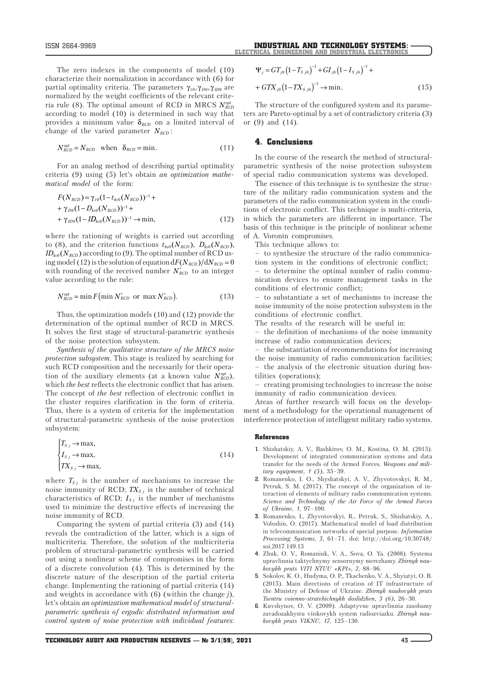The zero indexes in the components of model (10) characterize their normalization in accordance with (6) for partial optimality criteria. The parameters  $γ_{t0}, γ_{D0}, γ_{ID0}$  are normalized by the weight coefficients of the relevant criteria rule (8). The optimal amount of RCD in MRCS  $N^{opt}_{\it RCD}$ according to model (10) is determined in such way that provides a minimum value δ*RCD* on a limited interval of change of the varied parameter  $N_{\mathit{RCD}}$  :

$$
N_{RCD}^{opt} = N_{RCD} \quad \text{when} \quad \delta_{RCD} = \min. \tag{11}
$$

For an analog method of describing partial optimality criteria (9) using (5) let's obtain *an optimization mathematical model* of the form:

$$
F(N_{RCD}) = \gamma_{t0} (1 - t_{k0} (N_{RCD}))^{-1} +
$$
  
+  $\gamma_{D0} (1 - D_{k0} (N_{RCD}))^{-1} +$   
+  $\gamma_{D0} (1 - ID_{k0} (N_{RCD}))^{-1} \rightarrow \min,$  (12)

where the rationing of weights is carried out according to (8), and the criterion functions  $t_{ks0}(N_{\text{RCD}})$ ,  $D_{ks0}(N_{\text{RCD}})$ ,  $ID_{ks0}(N_{RCD})$  according to (9). The optimal number of RCD using model (12) is the solution of equation  $dF(N_{\text{RCD}})/dN_{\text{RCD}} = 0$ with rounding of the received number  $N_{RCD}^*$  to an integer value according to the rule:

$$
N_{RCD}^{opt} = \min F(\min N_{RCD}^* \text{ or } \max N_{RCD}^*).
$$
 (13)

Thus, the optimization models (10) and (12) provide the determination of the optimal number of RCD in MRCS. It solves the first stage of structural-parametric synthesis of the noise protection subsystem.

*Synthesis of the qualitative structure of the MRCS noise protection subsystem.* This stage is realized by searching for such RCD composition and the necessarily for their operation of the auxiliary elements (at a known value  $N_{RCD}^{opt}$ ), which *the best* reflects the electronic conflict that has arisen. The concept of *the best* reflection of electronic conflict in the cluster requires clarification in the form of criteria. Thus, there is a system of criteria for the implementation of structural-parametric synthesis of the noise protection subsystem:

$$
\begin{cases}\nT_{S,j} \to \max, \\
I_{S,j} \to \max, \\
TX_{S,j} \to \max,\n\end{cases} \tag{14}
$$

where  $T_{Sj}$  is the number of mechanisms to increase the noise immunity of RCD;  $TX_{Sj}$  is the number of technical characteristics of RCD;  $I_{Sj}$  is the number of mechanisms used to minimize the destructive effects of increasing the noise immunity of RCD.

Comparing the system of partial criteria (3) and (14) reveals the contradiction of the latter, which is a sign of multicriteria. Therefore, the solution of the multicriteria problem of structural-parametric synthesis will be carried out using a nonlinear scheme of compromises in the form of a discrete convolution (4). This is determined by the discrete nature of the description of the partial criteria change. Implementing the rationing of partial criteria (14) and weights in accordance with (6) (within the change *j*), let's obtain *an optimization mathematical model of structuralparametric synthesis of ergodic distributed information and control system of noise protection with individual features*:

$$
\Psi_j = GT_{j0} \left( 1 - T_{S\,j0} \right)^{-1} + GI_{j0} \left( 1 - I_{S\,j0} \right)^{-1} +
$$
  
+ 
$$
GTX_{j0} \left( 1 - TX_{S\,j0} \right)^{-1} \to \min.
$$
 (15)

The structure of the configured system and its parameters are Pareto-optimal by a set of contradictory criteria (3) or (9) and (14).

## 4. Conclusions

In the course of the research the method of structuralparametric synthesis of the noise protection subsystem of special radio communication systems was developed.

The essence of this technique is to synthesize the structure of the military radio communication system and the parameters of the radio communication system in the conditions of electronic conflict. This technique is multi-criteria, in which the parameters are different in importance. The basis of this technique is the principle of nonlinear scheme of A. Voronin compromises.

This technique allows to:

– to synthesize the structure of the radio communication system in the conditions of electronic conflict;

– to determine the optimal number of radio communication devices to ensure management tasks in the conditions of electronic conflict;

– to substantiate a set of mechanisms to increase the noise immunity of the noise protection subsystem in the conditions of electronic conflict.

The results of the research will be useful in:

– the definition of mechanisms of the noise immunity increase of radio communication devices;

– the substantiation of recommendations for increasing the noise immunity of radio communication facilities; – the analysis of the electronic situation during hostilities (operations);

– creating promising technologies to increase the noise immunity of radio communication devices.

Areas of further research will focus on the development of a methodology for the operational management of interference protection of intelligent military radio systems.

#### References

- **1.** Shishatskiy, A. V., Bashkirov, O. M., Kostina, O. M. (2015). Development of integrated communication systems and data transfer for the needs of the Armed Forces. *Weapons and military equipment, 1 (5),* 35–39.
- **2.** Romanenko, І. О., Shyshatskyi, A. V., Zhyvotovskyi, R. M., Petruk, S. M. (2017). The concept of the organization of interaction of elements of military radio communication systems. *Science and Technology of the Air Force of the Armed Forces of Ukraine, 1,* 97–100.
- **3.** Romanenko, I., Zhyvotovskyi, R., Petruk, S., Shishatskiy, A., Voloshin, O. (2017). Mathematical model of load distribution in telecommunication networks of special purpose. *Information Processing Systems, 3,* 61–71. doi: http://doi.org/10.30748/ soi.2017.149.13
- **4.** Zhuk, O. V., Romaniuk, V. A., Sova, O. Ya. (2008). Systema upravlinnia taktychnymy sensornymy merezhamy. *Zbirnyk naukovykh prats VITI NTUU «KPI», 2,* 88–96.
- **5.** Sokolov, K. O., Hudyma, O. P., Tkachenko, V. A., Shyiatyi, O. B. (2015). Main directions of creation of IT infrastructure of the Ministry of Defense of Ukraine. *Zbirnyk naukovykh prats Tsentru voienno-stratehichnykh doslidzhen, 3 (6),* 26–30.
- **6.** Kuvshynov, O. V. (2009). Adaptyvne upravlinnia zasobamy zavadozakhystu viiskovykh system radiozviazku. *Zbirnyk naukovykh prats VIKNU, 17*, 125–130.